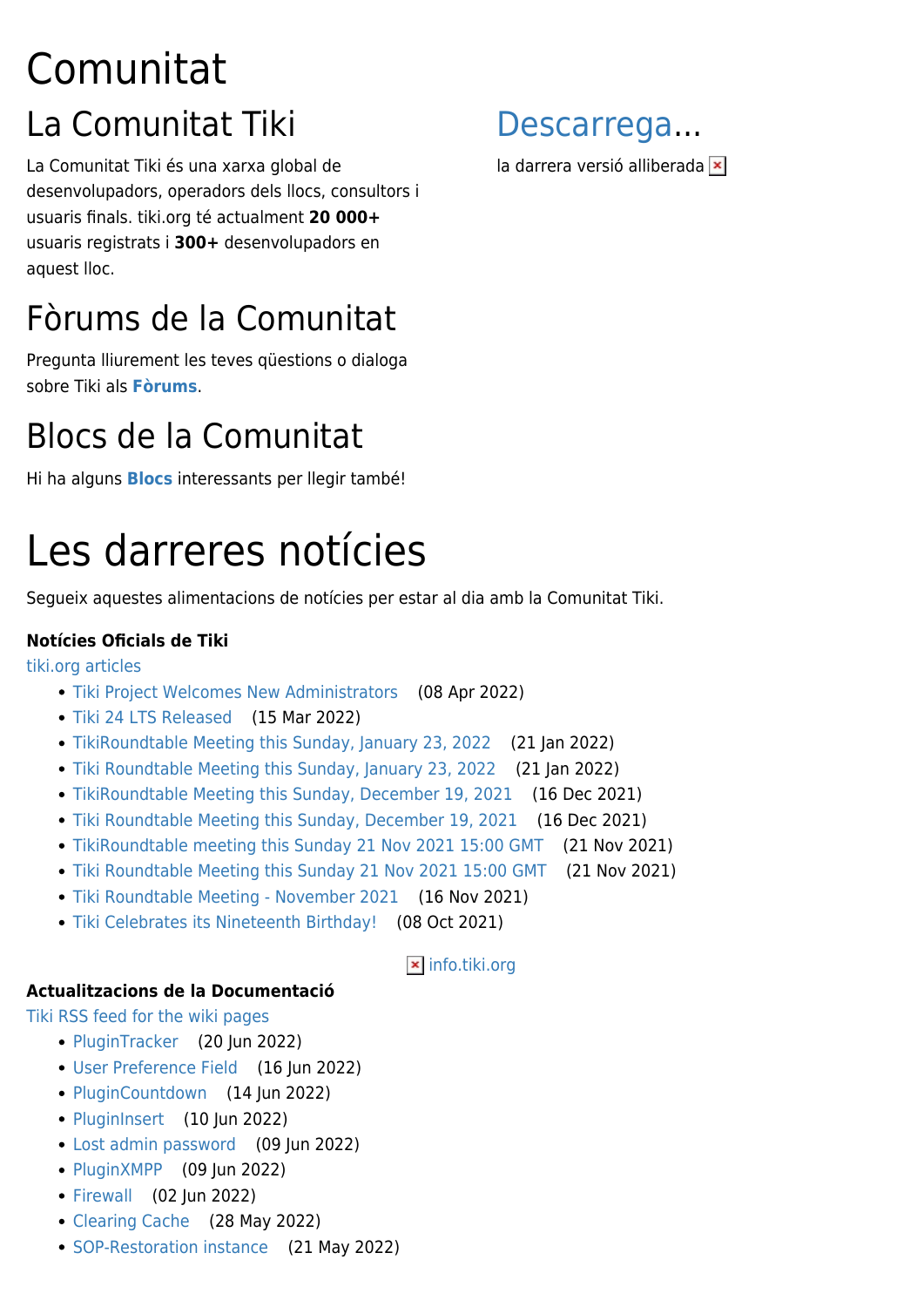## Comunitat La Comunitat Tiki

La Comunitat Tiki és una xarxa global de desenvolupadors, operadors dels llocs, consultors i usuaris finals. tiki.org té actualment **20 000+** usuaris registrats i **300+** desenvolupadors en aquest lloc.

### Fòrums de la Comunitat

Pregunta lliurement les teves qüestions o dialoga sobre Tiki als **[Fòrums](tiki-forums.php)**.

### Blocs de la Comunitat

Hi ha alguns **[Blocs](tiki-list_blogs.php)** interessants per llegir també!

# Les darreres notícies

Segueix aquestes alimentacions de notícies per estar al dia amb la Comunitat Tiki.

#### **Notícies Oficials de Tiki**

[tiki.org articles](https://tiki.org/)

- [Tiki Project Welcomes New Administrators](https://tiki.org/article489-Tiki-Project-Welcomes-New-Administrators) (08 Apr 2022)
- [Tiki 24 LTS Released](https://tiki.org/article488-Tiki-24-LTS-Released) (15 Mar 2022)
- [TikiRoundtable Meeting this Sunday, January 23, 2022](https://tiki.org/article487-TikiRoundtable-Meeting-this-Sunday-January-23-2022) (21 Jan 2022)
- [Tiki Roundtable Meeting this Sunday, January 23, 2022](https://tiki.org/article487-Tiki-Roundtable-Meeting-this-Sunday-January-23-2022) (21 Jan 2022)
- [TikiRoundtable Meeting this Sunday, December 19, 2021](https://tiki.org/article486-TikiRoundtable-Meeting-this-Sunday-December-19-2021) (16 Dec 2021)
- [Tiki Roundtable Meeting this Sunday, December 19, 2021](https://tiki.org/article486-Tiki-Roundtable-Meeting-this-Sunday-December-19-2021) (16 Dec 2021)
- [TikiRoundtable meeting this Sunday 21 Nov 2021 15:00 GMT](https://tiki.org/article485-TikiRoundtable-meeting-this-Sunday-21-Nov-2021-15-00-GMT) (21 Nov 2021)
- [Tiki Roundtable Meeting this Sunday 21 Nov 2021 15:00 GMT](https://tiki.org/article485-Tiki-Roundtable-Meeting-this-Sunday-21-Nov-2021-15-00-GMT) (21 Nov 2021)

**x** [info.tiki.org](http://info.tiki.org)

- [Tiki Roundtable Meeting November 2021](https://tiki.org/article484-Tiki-Roundtable-Meeting-November-2021) (16 Nov 2021)
- [Tiki Celebrates its Nineteenth Birthday!](https://tiki.org/article483-Tiki-Celebrates-its-Nineteenth-Birthday) (08 Oct 2021)

#### **Actualitzacions de la Documentació**

[Tiki RSS feed for the wiki pages](https://doc.tiki.org/)

- [PluginTracker](https://doc.tiki.org/tiki-index.php?page=PluginTracker) (20 Jun 2022)
- [User Preference Field](https://doc.tiki.org/tiki-index.php?page=User+Preference+Field) (16 Jun 2022)
- [PluginCountdown](https://doc.tiki.org/tiki-index.php?page=PluginCountdown) (14 Jun 2022)
- [PluginInsert](https://doc.tiki.org/tiki-index.php?page=PluginInsert) (10 Jun 2022)
- [Lost admin password](https://doc.tiki.org/tiki-index.php?page=Lost+admin+password) (09 Jun 2022)
- $\bullet$  [PluginXMPP](https://doc.tiki.org/tiki-index.php?page=PluginXMPP) (09 Jun 2022)
- [Firewall](https://doc.tiki.org/tiki-index.php?page=Firewall) (02 Jun 2022)
- [Clearing Cache](https://doc.tiki.org/tiki-index.php?page=Clearing+Cache) (28 May 2022)
- [SOP-Restoration instance](https://doc.tiki.org/tiki-index.php?page=SOP-Restoration+instance) (21 May 2022)



ladarrera versió alliberada **×**